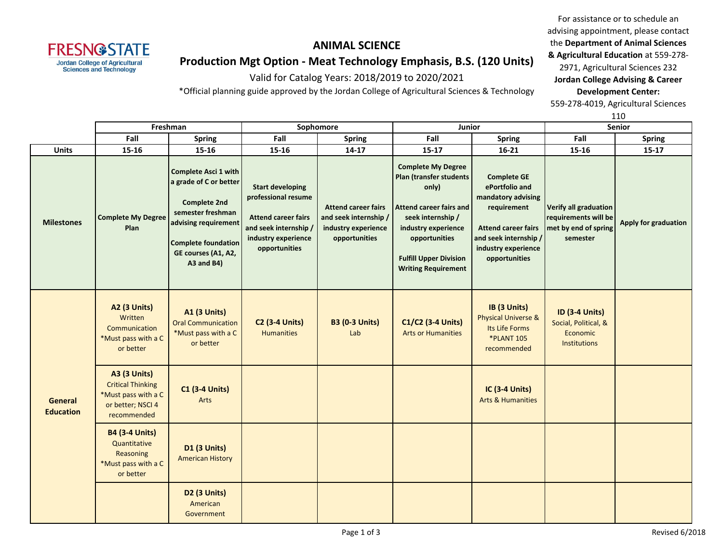**FRESN@STATE Jordan College of Agricultural Sciences and Technology** 

or better

**D2 (3 Units)** American Government

### **ANIMAL SCIENCE**

# **Production Mgt Option - Meat Technology Emphasis, B.S. (120 Units)**

Valid for Catalog Years: 2018/2019 to 2020/2021

\*Official planning guide approved by the Jordan College of Agricultural Sciences & Technology

For assistance or to schedule an advising appointment, please contact the **Department of Animal Sciences & Agricultural Education** at 559-278-

2971, Agricultural Sciences 232 **Jordan College Advising & Career Development Center:**

559-278-4019, Agricultural Sciences

|                             |                                                                                                            |                                                                                                                                                                                              |                                                                                                                                               |                                                                                             |                                                                                                                                                                                                                      | 110                                                                                                                                                                      |                                                                                   |                             |
|-----------------------------|------------------------------------------------------------------------------------------------------------|----------------------------------------------------------------------------------------------------------------------------------------------------------------------------------------------|-----------------------------------------------------------------------------------------------------------------------------------------------|---------------------------------------------------------------------------------------------|----------------------------------------------------------------------------------------------------------------------------------------------------------------------------------------------------------------------|--------------------------------------------------------------------------------------------------------------------------------------------------------------------------|-----------------------------------------------------------------------------------|-----------------------------|
|                             | Freshman                                                                                                   |                                                                                                                                                                                              | Sophomore                                                                                                                                     |                                                                                             | Junior                                                                                                                                                                                                               |                                                                                                                                                                          | Senior                                                                            |                             |
|                             | Fall                                                                                                       | <b>Spring</b>                                                                                                                                                                                | Fall                                                                                                                                          | <b>Spring</b>                                                                               | Fall                                                                                                                                                                                                                 | <b>Spring</b>                                                                                                                                                            | Fall                                                                              | <b>Spring</b>               |
| <b>Units</b>                | 15-16                                                                                                      | 15-16                                                                                                                                                                                        | 15-16                                                                                                                                         | $14 - 17$                                                                                   | $15 - 17$                                                                                                                                                                                                            | $16 - 21$                                                                                                                                                                | 15-16                                                                             | 15-17                       |
| <b>Milestones</b>           | <b>Complete My Degree</b><br>Plan                                                                          | <b>Complete Asci 1 with</b><br>a grade of C or better<br><b>Complete 2nd</b><br>semester freshman<br>advising requirement<br><b>Complete foundation</b><br>GE courses (A1, A2,<br>A3 and B4) | <b>Start developing</b><br>professional resume<br><b>Attend career fairs</b><br>and seek internship /<br>industry experience<br>opportunities | <b>Attend career fairs</b><br>and seek internship /<br>industry experience<br>opportunities | <b>Complete My Degree</b><br>Plan (transfer students<br>only)<br>Attend career fairs and<br>seek internship /<br>industry experience<br>opportunities<br><b>Fulfill Upper Division</b><br><b>Writing Requirement</b> | <b>Complete GE</b><br>ePortfolio and<br>mandatory advising<br>requirement<br><b>Attend career fairs</b><br>and seek internship /<br>industry experience<br>opportunities | Verify all graduation<br>requirements will be<br>met by end of spring<br>semester | <b>Apply for graduation</b> |
|                             | <b>A2 (3 Units)</b><br>Written<br>Communication<br>*Must pass with a C<br>or better                        | <b>A1 (3 Units)</b><br><b>Oral Communication</b><br>*Must pass with a C<br>or better                                                                                                         | <b>C2 (3-4 Units)</b><br><b>Humanities</b>                                                                                                    | <b>B3 (0-3 Units)</b><br>Lab                                                                | C1/C2 (3-4 Units)<br><b>Arts or Humanities</b>                                                                                                                                                                       | IB (3 Units)<br><b>Physical Universe &amp;</b><br>Its Life Forms<br><b>*PLANT 105</b><br>recommended                                                                     | <b>ID (3-4 Units)</b><br>Social, Political, &<br>Economic<br><b>Institutions</b>  |                             |
| General<br><b>Education</b> | <b>A3 (3 Units)</b><br><b>Critical Thinking</b><br>*Must pass with a C<br>or better; NSCI 4<br>recommended | <b>C1 (3-4 Units)</b><br>Arts                                                                                                                                                                |                                                                                                                                               |                                                                                             |                                                                                                                                                                                                                      | <b>IC (3-4 Units)</b><br><b>Arts &amp; Humanities</b>                                                                                                                    |                                                                                   |                             |
|                             | <b>B4 (3-4 Units)</b><br>Quantitative<br>Reasoning<br>*Must pass with a C                                  | D1 (3 Units)<br><b>American History</b>                                                                                                                                                      |                                                                                                                                               |                                                                                             |                                                                                                                                                                                                                      |                                                                                                                                                                          |                                                                                   |                             |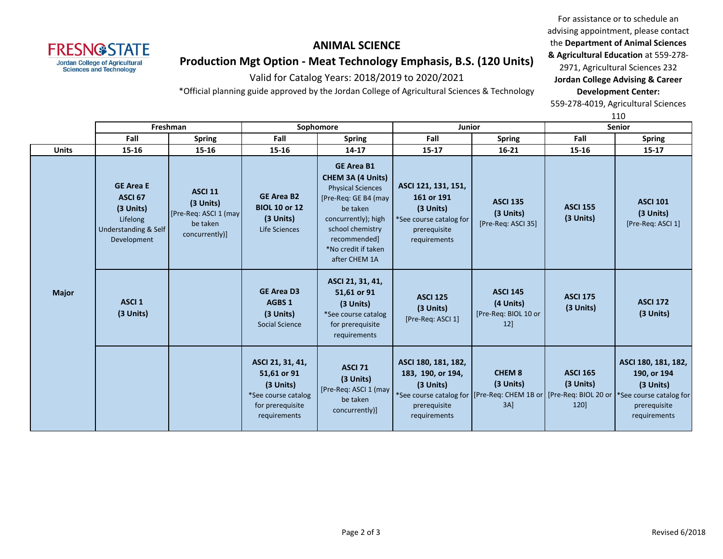**FRESN@STATE Jordan College of Agricultural Sciences and Technology** 

# **Production Mgt Option - Meat Technology Emphasis, B.S. (120 Units)**

Valid for Catalog Years: 2018/2019 to 2020/2021

\*Official planning guide approved by the Jordan College of Agricultural Sciences & Technology

For assistance or to schedule an advising appointment, please contact the **Department of Animal Sciences & Agricultural Education** at 559-278- 2971, Agricultural Sciences 232 **Jordan College Advising & Career** 

**Development Center:**

559-278-4019, Agricultural Sciences

110

|              | Freshman                                                                                                      |                                                                                     | Sophomore                                                                                               |                                                                                                                                                                                                                  | <b>Junior</b>                                                                                             |                                                             | <b>Senior</b>                        |                                                                                                                                                                                    |
|--------------|---------------------------------------------------------------------------------------------------------------|-------------------------------------------------------------------------------------|---------------------------------------------------------------------------------------------------------|------------------------------------------------------------------------------------------------------------------------------------------------------------------------------------------------------------------|-----------------------------------------------------------------------------------------------------------|-------------------------------------------------------------|--------------------------------------|------------------------------------------------------------------------------------------------------------------------------------------------------------------------------------|
|              | Fall                                                                                                          | <b>Spring</b>                                                                       | Fall                                                                                                    | <b>Spring</b>                                                                                                                                                                                                    | Fall                                                                                                      | <b>Spring</b>                                               | Fall                                 | <b>Spring</b>                                                                                                                                                                      |
| <b>Units</b> | 15-16                                                                                                         | $15 - 16$                                                                           | 15-16                                                                                                   | $14 - 17$                                                                                                                                                                                                        | $15 - 17$                                                                                                 | $16 - 21$                                                   | $15 - 16$                            | $15 - 17$                                                                                                                                                                          |
| <b>Major</b> | <b>GE Area E</b><br><b>ASCI 67</b><br>(3 Units)<br>Lifelong<br><b>Understanding &amp; Self</b><br>Development | <b>ASCI 11</b><br>(3 Units)<br>[Pre-Req: ASCI 1 (may)<br>be taken<br>concurrently)] | <b>GE Area B2</b><br><b>BIOL 10 or 12</b><br>(3 Units)<br>Life Sciences                                 | <b>GE Area B1</b><br><b>CHEM 3A (4 Units)</b><br><b>Physical Sciences</b><br>[Pre-Req: GE B4 (may<br>be taken<br>concurrently); high<br>school chemistry<br>recommended]<br>*No credit if taken<br>after CHEM 1A | ASCI 121, 131, 151,<br>161 or 191<br>(3 Units)<br>*See course catalog for<br>prerequisite<br>requirements | <b>ASCI 135</b><br>(3 Units)<br>[Pre-Req: ASCI 35]          | <b>ASCI 155</b><br>(3 Units)         | <b>ASCI 101</b><br>(3 Units)<br>[Pre-Req: ASCI 1]                                                                                                                                  |
|              | ASCI <sub>1</sub><br>$(3$ Units)                                                                              |                                                                                     | <b>GE Area D3</b><br>AGBS 1<br>$(3$ Units)<br>Social Science                                            | ASCI 21, 31, 41,<br>51,61 or 91<br>(3 Units)<br>*See course catalog<br>for prerequisite<br>requirements                                                                                                          | <b>ASCI 125</b><br>(3 Units)<br>[Pre-Req: ASCI 1]                                                         | <b>ASCI 145</b><br>(4 Units)<br>[Pre-Req: BIOL 10 or<br>12] | <b>ASCI 175</b><br>(3 Units)         | <b>ASCI 172</b><br>(3 Units)                                                                                                                                                       |
|              |                                                                                                               |                                                                                     | ASCI 21, 31, 41,<br>51,61 or 91<br>(3 Units)<br>*See course catalog<br>for prerequisite<br>requirements | <b>ASCI 71</b><br>(3 Units)<br>[Pre-Req: ASCI 1 (may<br>be taken<br>concurrently)]                                                                                                                               | ASCI 180, 181, 182,<br>183, 190, or 194,<br>(3 Units)<br>prerequisite<br>requirements                     | <b>CHEM 8</b><br>(3 Units)<br>3A                            | <b>ASCI 165</b><br>(3 Units)<br>120] | ASCI 180, 181, 182,<br>190, or 194<br>(3 Units)<br>*See course catalog for   [Pre-Req: CHEM 1B or   [Pre-Req: BIOL 20 or   *See course catalog for<br>prerequisite<br>requirements |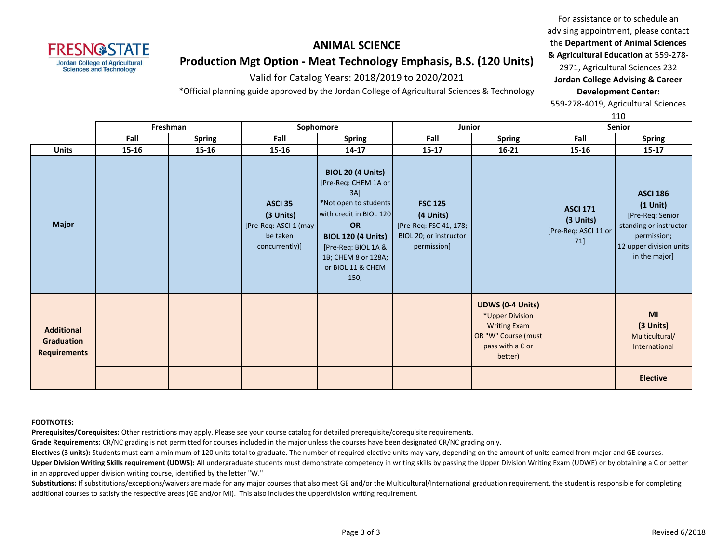**FRESN@STATE Jordan College of Agricultural Sciences and Technology** 

# **Production Mgt Option - Meat Technology Emphasis, B.S. (120 Units)**

Valid for Catalog Years: 2018/2019 to 2020/2021

\*Official planning guide approved by the Jordan College of Agricultural Sciences & Technology

For assistance or to schedule an advising appointment, please contact the **Department of Animal Sciences & Agricultural Education** at 559-278- 2971, Agricultural Sciences 232 **Jordan College Advising & Career** 

**Development Center:** 559-278-4019, Agricultural Sciences

110

|                                                        |          |               |                                                                                        |                                                                                                                                                                                                                           |                                                                                                |                                                                                                                         |                                                             | ᆠᅶᅛ                                                                                                                                       |
|--------------------------------------------------------|----------|---------------|----------------------------------------------------------------------------------------|---------------------------------------------------------------------------------------------------------------------------------------------------------------------------------------------------------------------------|------------------------------------------------------------------------------------------------|-------------------------------------------------------------------------------------------------------------------------|-------------------------------------------------------------|-------------------------------------------------------------------------------------------------------------------------------------------|
|                                                        | Freshman |               | Sophomore                                                                              |                                                                                                                                                                                                                           | Junior                                                                                         |                                                                                                                         | <b>Senior</b>                                               |                                                                                                                                           |
|                                                        | Fall     | <b>Spring</b> | Fall                                                                                   | <b>Spring</b>                                                                                                                                                                                                             | Fall                                                                                           | Spring                                                                                                                  | Fall                                                        | <b>Spring</b>                                                                                                                             |
| <b>Units</b>                                           | 15-16    | 15-16         | 15-16                                                                                  | $14 - 17$                                                                                                                                                                                                                 | $15 - 17$                                                                                      | $16 - 21$                                                                                                               | 15-16                                                       | 15-17                                                                                                                                     |
| <b>Major</b>                                           |          |               | ASCI <sub>35</sub><br>(3 Units)<br>[Pre-Req: ASCI 1 (may<br>be taken<br>concurrently)] | <b>BIOL 20 (4 Units)</b><br>[Pre-Req: CHEM 1A or<br>3AI<br>*Not open to students<br>with credit in BIOL 120<br>OR<br><b>BIOL 120 (4 Units)</b><br>[Pre-Req: BIOL 1A &<br>1B; CHEM 8 or 128A;<br>or BIOL 11 & CHEM<br>150] | <b>FSC 125</b><br>(4 Units)<br>[Pre-Req: FSC 41, 178;<br>BIOL 20; or instructor<br>permission] |                                                                                                                         | <b>ASCI 171</b><br>(3 Units)<br>[Pre-Req: ASCI 11 or<br>71] | <b>ASCI 186</b><br>$(1$ Unit $)$<br>[Pre-Req: Senior<br>standing or instructor<br>permission;<br>12 upper division units<br>in the major] |
| <b>Additional</b><br>Graduation<br><b>Requirements</b> |          |               |                                                                                        |                                                                                                                                                                                                                           |                                                                                                | <b>UDWS (0-4 Units)</b><br>*Upper Division<br><b>Writing Exam</b><br>OR "W" Course (must<br>pass with a C or<br>better) |                                                             | MI<br>(3 Units)<br>Multicultural/<br>International<br><b>Elective</b>                                                                     |

#### **FOOTNOTES:**

**Prerequisites/Corequisites:** Other restrictions may apply. Please see your course catalog for detailed prerequisite/corequisite requirements.

**Grade Requirements:** CR/NC grading is not permitted for courses included in the major unless the courses have been designated CR/NC grading only.

**Electives (3 units):** Students must earn a minimum of 120 units total to graduate. The number of required elective units may vary, depending on the amount of units earned from major and GE courses. **Upper Division Writing Skills requirement (UDWS):** All undergraduate students must demonstrate competency in writing skills by passing the Upper Division Writing Exam (UDWE) or by obtaining a C or better in an approved upper division writing course, identified by the letter "W."

Substitutions: If substitutions/exceptions/waivers are made for any major courses that also meet GE and/or the Multicultural/International graduation requirement, the student is responsible for completing additional courses to satisfy the respective areas (GE and/or MI). This also includes the upperdivision writing requirement.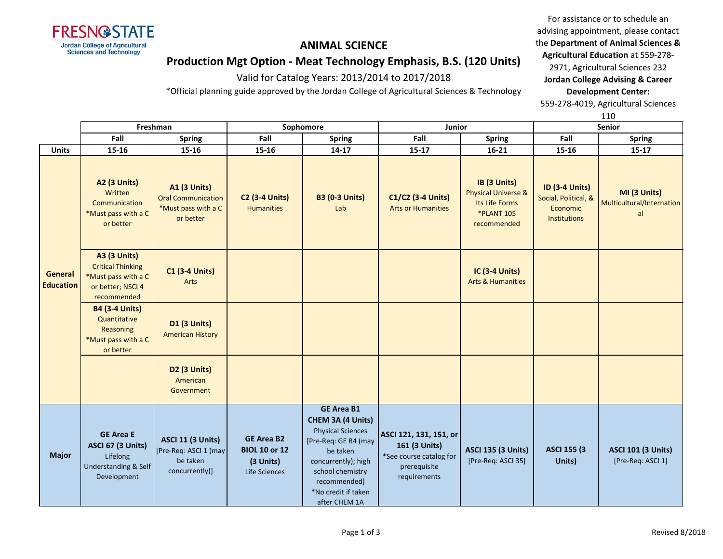

**Production Mgt Option - Meat Technology Emphasis, B.S. (120 Units)**

Valid for Catalog Years: 2013/2014 to 2017/2018

\*Official planning guide approved by the Jordan College of Agricultural Sciences & Technology

For assistance or to schedule an advising appointment, please contact the **Department of Animal Sciences & Agricultural Education** at 559-278- 2971, Agricultural Sciences 232 **Jordan College Advising & Career Development Center:**

559-278-4019, Agricultural Sciences

110

|                             | Freshman                                                                                                   |                                                                                      | Sophomore                                                               |                                                                                                                                                                                                           | Junior                                                                                             |                                                                                                      | <b>Senior</b>                                                             |                                                 |
|-----------------------------|------------------------------------------------------------------------------------------------------------|--------------------------------------------------------------------------------------|-------------------------------------------------------------------------|-----------------------------------------------------------------------------------------------------------------------------------------------------------------------------------------------------------|----------------------------------------------------------------------------------------------------|------------------------------------------------------------------------------------------------------|---------------------------------------------------------------------------|-------------------------------------------------|
|                             | Fall                                                                                                       | <b>Spring</b>                                                                        | Fall                                                                    | Spring                                                                                                                                                                                                    | Fall                                                                                               | <b>Spring</b>                                                                                        | Fall                                                                      | <b>Spring</b>                                   |
| <b>Units</b>                | 15-16                                                                                                      | 15-16                                                                                | $15 - 16$                                                               | $14 - 17$                                                                                                                                                                                                 | $15 - 17$                                                                                          | $16 - 21$                                                                                            | $15 - 16$                                                                 | $15 - 17$                                       |
| General<br><b>Education</b> | <b>A2 (3 Units)</b><br>Written<br>Communication<br>*Must pass with a C<br>or better                        | <b>A1 (3 Units)</b><br><b>Oral Communication</b><br>*Must pass with a C<br>or better | <b>C2 (3-4 Units)</b><br><b>Humanities</b>                              | <b>B3 (0-3 Units)</b><br>Lab                                                                                                                                                                              | C1/C2 (3-4 Units)<br><b>Arts or Humanities</b>                                                     | IB (3 Units)<br><b>Physical Universe &amp;</b><br>Its Life Forms<br><b>*PLANT 105</b><br>recommended | <b>ID (3-4 Units)</b><br>Social, Political, &<br>Economic<br>Institutions | MI (3 Units)<br>Multicultural/Internation<br>al |
|                             | <b>A3 (3 Units)</b><br><b>Critical Thinking</b><br>*Must pass with a C<br>or better; NSCI 4<br>recommended | <b>C1 (3-4 Units)</b><br>Arts                                                        |                                                                         |                                                                                                                                                                                                           |                                                                                                    | <b>IC (3-4 Units)</b><br><b>Arts &amp; Humanities</b>                                                |                                                                           |                                                 |
|                             | <b>B4 (3-4 Units)</b><br>Quantitative<br>Reasoning<br>*Must pass with a C<br>or better                     | <b>D1 (3 Units)</b><br><b>American History</b>                                       |                                                                         |                                                                                                                                                                                                           |                                                                                                    |                                                                                                      |                                                                           |                                                 |
|                             |                                                                                                            | D <sub>2</sub> (3 Units)<br>American<br>Government                                   |                                                                         |                                                                                                                                                                                                           |                                                                                                    |                                                                                                      |                                                                           |                                                 |
| <b>Major</b>                | <b>GE Area E</b><br><b>ASCI 67 (3 Units)</b><br>Lifelong<br>Understanding & Self<br>Development            | <b>ASCI 11 (3 Units)</b><br>[Pre-Req: ASCI 1 (may<br>be taken<br>concurrently)]      | <b>GE Area B2</b><br><b>BIOL 10 or 12</b><br>(3 Units)<br>Life Sciences | <b>GE Area B1</b><br>CHEM 3A (4 Units)<br><b>Physical Sciences</b><br>[Pre-Req: GE B4 (may<br>be taken<br>concurrently); high<br>school chemistry<br>recommended]<br>*No credit if taken<br>after CHEM 1A | ASCI 121, 131, 151, or<br>161 (3 Units)<br>*See course catalog for<br>prerequisite<br>requirements | <b>ASCI 135 (3 Units)</b><br>[Pre-Req: ASCI 35]                                                      | <b>ASCI 155 (3)</b><br>Units)                                             | <b>ASCI 101 (3 Units)</b><br>[Pre-Req: ASCI 1]  |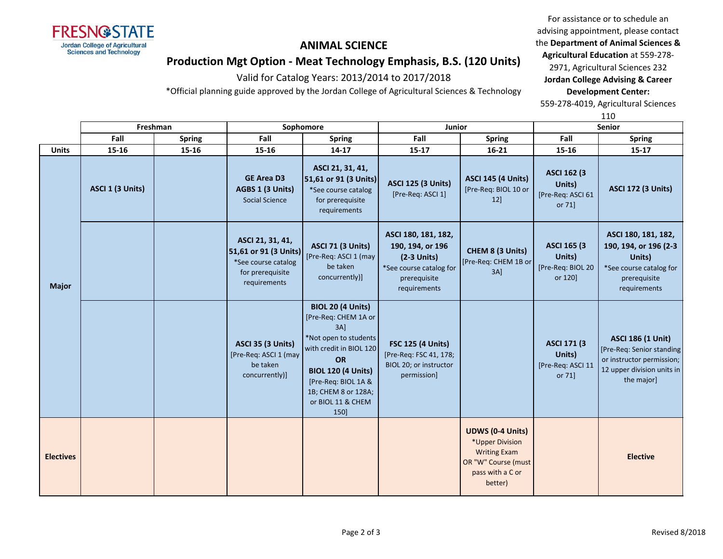

advising appointment, please contact the **Department of Animal Sciences & Agricultural Education** at 559-278- 2971, Agricultural Sciences 232 **Jordan College Advising & Career** 

For assistance or to schedule an

## **Production Mgt Option - Meat Technology Emphasis, B.S. (120 Units)**

Valid for Catalog Years: 2013/2014 to 2017/2018

\*Official planning guide approved by the Jordan College of Agricultural Sciences & Technology

**Development Center:** 559-278-4019, Agricultural Sciences

110

|                  | Freshman         |               | Sophomore                                                                                            |                                                                                                                                                                                                                                 | Junior                                                                                                              |                                                                                                                         | Senior                                                        |                                                                                                                                |  |
|------------------|------------------|---------------|------------------------------------------------------------------------------------------------------|---------------------------------------------------------------------------------------------------------------------------------------------------------------------------------------------------------------------------------|---------------------------------------------------------------------------------------------------------------------|-------------------------------------------------------------------------------------------------------------------------|---------------------------------------------------------------|--------------------------------------------------------------------------------------------------------------------------------|--|
|                  | Fall             | <b>Spring</b> | Fall                                                                                                 | <b>Spring</b>                                                                                                                                                                                                                   | Fall                                                                                                                | <b>Spring</b>                                                                                                           | Fall                                                          | <b>Spring</b>                                                                                                                  |  |
| <b>Units</b>     | 15-16            | 15-16         | 15-16                                                                                                | $14 - 17$                                                                                                                                                                                                                       | $15 - 17$                                                                                                           | $16 - 21$                                                                                                               | 15-16                                                         | $15 - 17$                                                                                                                      |  |
| <b>Major</b>     | ASCI 1 (3 Units) |               | <b>GE Area D3</b><br>AGBS 1 (3 Units)<br><b>Social Science</b>                                       | ASCI 21, 31, 41,<br>51,61 or 91 (3 Units)<br>*See course catalog<br>for prerequisite<br>requirements                                                                                                                            | <b>ASCI 125 (3 Units)</b><br>[Pre-Req: ASCI 1]                                                                      | <b>ASCI 145 (4 Units)</b><br>[Pre-Req: BIOL 10 or<br>12]                                                                | <b>ASCI 162 (3)</b><br>Units)<br>[Pre-Req: ASCI 61<br>or 71]  | <b>ASCI 172 (3 Units)</b>                                                                                                      |  |
|                  |                  |               | ASCI 21, 31, 41,<br>51,61 or 91 (3 Units)<br>*See course catalog<br>for prerequisite<br>requirements | <b>ASCI 71 (3 Units)</b><br>[Pre-Req: ASCI 1 (may<br>be taken<br>concurrently)]                                                                                                                                                 | ASCI 180, 181, 182,<br>190, 194, or 196<br>$(2-3$ Units)<br>*See course catalog for<br>prerequisite<br>requirements | CHEM 8 (3 Units)<br>[Pre-Req: CHEM 1B or<br>$3A$ ]                                                                      | <b>ASCI 165 (3)</b><br>Units)<br>[Pre-Req: BIOL 20<br>or 120] | ASCI 180, 181, 182,<br>190, 194, or 196 (2-3)<br>Units)<br>*See course catalog for<br>prerequisite<br>requirements             |  |
|                  |                  |               | <b>ASCI 35 (3 Units)</b><br>[Pre-Req: ASCI 1 (may<br>be taken<br>concurrently)]                      | <b>BIOL 20 (4 Units)</b><br>[Pre-Req: CHEM 1A or<br>3AI<br>*Not open to students<br>with credit in BIOL 120<br><b>OR</b><br><b>BIOL 120 (4 Units)</b><br>[Pre-Req: BIOL 1A &<br>1B; CHEM 8 or 128A;<br>or BIOL 11 & CHEM<br>150 | <b>FSC 125 (4 Units)</b><br>[Pre-Req: FSC 41, 178;<br>BIOL 20; or instructor<br>permission]                         |                                                                                                                         | <b>ASCI 171 (3)</b><br>Units)<br>[Pre-Req: ASCI 11<br>or 71]  | <b>ASCI 186 (1 Unit)</b><br>[Pre-Req: Senior standing<br>or instructor permission;<br>12 upper division units in<br>the major] |  |
| <b>Electives</b> |                  |               |                                                                                                      |                                                                                                                                                                                                                                 |                                                                                                                     | <b>UDWS (0-4 Units)</b><br>*Upper Division<br><b>Writing Exam</b><br>OR "W" Course (must<br>pass with a C or<br>better) |                                                               | <b>Elective</b>                                                                                                                |  |